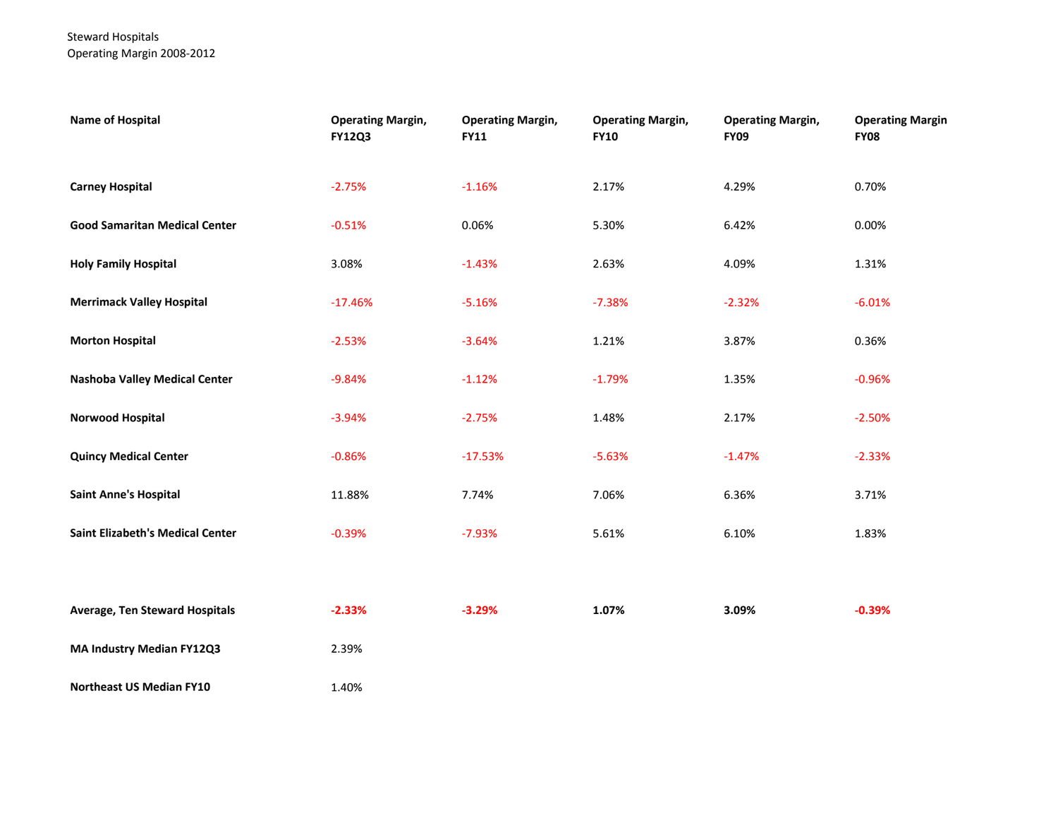### Steward Hospitals Operating Margin 2008-2012

| <b>Name of Hospital</b>                 | <b>Operating Margin,</b><br><b>FY12Q3</b> | <b>Operating Margin,</b><br><b>FY11</b> | <b>Operating Margin,</b><br><b>FY10</b> | <b>Operating Margin,</b><br><b>FY09</b> | <b>Operating Margin</b><br><b>FY08</b> |
|-----------------------------------------|-------------------------------------------|-----------------------------------------|-----------------------------------------|-----------------------------------------|----------------------------------------|
| <b>Carney Hospital</b>                  | $-2.75%$                                  | $-1.16%$                                | 2.17%                                   | 4.29%                                   | 0.70%                                  |
| <b>Good Samaritan Medical Center</b>    | $-0.51%$                                  | 0.06%                                   | 5.30%                                   | 6.42%                                   | 0.00%                                  |
| <b>Holy Family Hospital</b>             | 3.08%                                     | $-1.43%$                                | 2.63%                                   | 4.09%                                   | 1.31%                                  |
| <b>Merrimack Valley Hospital</b>        | $-17.46%$                                 | $-5.16%$                                | $-7.38%$                                | $-2.32%$                                | $-6.01%$                               |
| <b>Morton Hospital</b>                  | $-2.53%$                                  | $-3.64%$                                | 1.21%                                   | 3.87%                                   | 0.36%                                  |
| <b>Nashoba Valley Medical Center</b>    | $-9.84%$                                  | $-1.12%$                                | $-1.79%$                                | 1.35%                                   | $-0.96%$                               |
| <b>Norwood Hospital</b>                 | $-3.94%$                                  | $-2.75%$                                | 1.48%                                   | 2.17%                                   | $-2.50%$                               |
| <b>Quincy Medical Center</b>            | $-0.86%$                                  | $-17.53%$                               | $-5.63%$                                | $-1.47%$                                | $-2.33%$                               |
| <b>Saint Anne's Hospital</b>            | 11.88%                                    | 7.74%                                   | 7.06%                                   | 6.36%                                   | 3.71%                                  |
| <b>Saint Elizabeth's Medical Center</b> | $-0.39%$                                  | $-7.93%$                                | 5.61%                                   | 6.10%                                   | 1.83%                                  |
|                                         |                                           |                                         |                                         |                                         |                                        |
| Average, Ten Steward Hospitals          | $-2.33%$                                  | $-3.29%$                                | 1.07%                                   | 3.09%                                   | $-0.39%$                               |
| MA Industry Median FY12Q3               | 2.39%                                     |                                         |                                         |                                         |                                        |
| <b>Northeast US Median FY10</b>         | 1.40%                                     |                                         |                                         |                                         |                                        |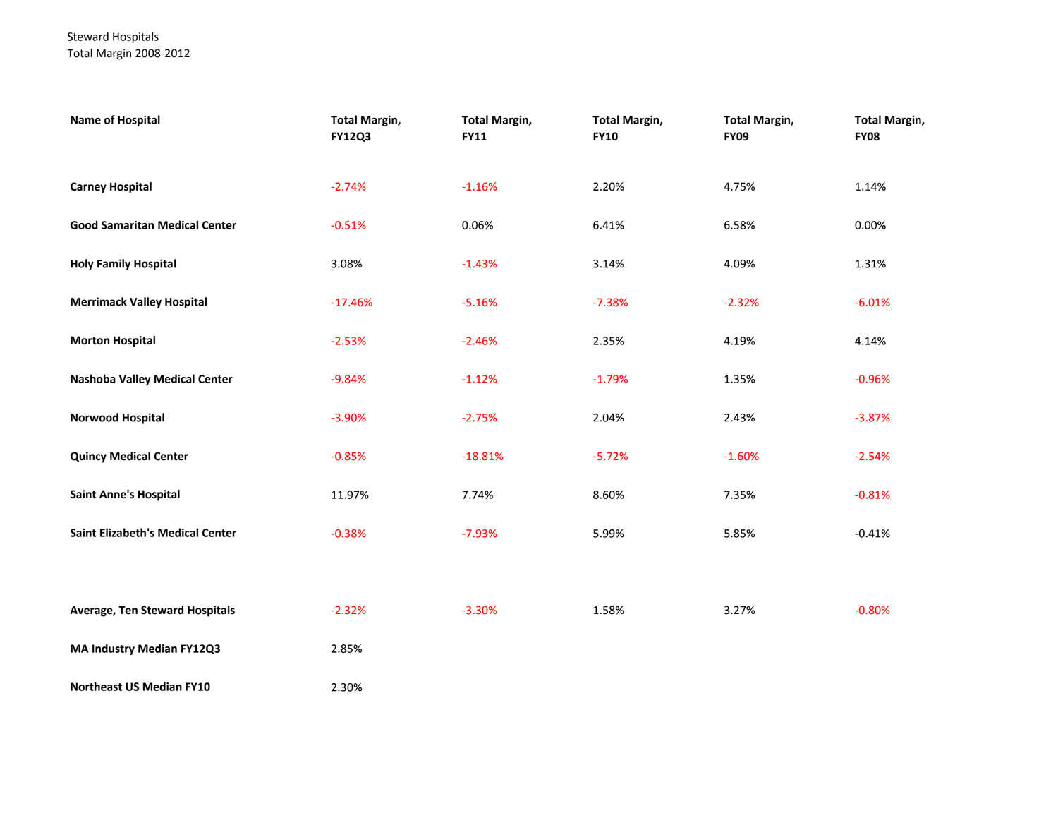### Steward Hospitals Total Margin 2008-2012

| <b>Name of Hospital</b>                 | <b>Total Margin,</b><br><b>FY12Q3</b> | <b>Total Margin,</b><br><b>FY11</b> | <b>Total Margin,</b><br><b>FY10</b> | <b>Total Margin,</b><br><b>FY09</b> | <b>Total Margin,</b><br><b>FY08</b> |
|-----------------------------------------|---------------------------------------|-------------------------------------|-------------------------------------|-------------------------------------|-------------------------------------|
| <b>Carney Hospital</b>                  | $-2.74%$                              | $-1.16%$                            | 2.20%                               | 4.75%                               | 1.14%                               |
| <b>Good Samaritan Medical Center</b>    | $-0.51%$                              | 0.06%                               | 6.41%                               | 6.58%                               | 0.00%                               |
| <b>Holy Family Hospital</b>             | 3.08%                                 | $-1.43%$                            | 3.14%                               | 4.09%                               | 1.31%                               |
| <b>Merrimack Valley Hospital</b>        | $-17.46%$                             | $-5.16%$                            | $-7.38%$                            | $-2.32%$                            | $-6.01%$                            |
| <b>Morton Hospital</b>                  | $-2.53%$                              | $-2.46%$                            | 2.35%                               | 4.19%                               | 4.14%                               |
| <b>Nashoba Valley Medical Center</b>    | $-9.84%$                              | $-1.12%$                            | $-1.79%$                            | 1.35%                               | $-0.96%$                            |
| Norwood Hospital                        | $-3.90%$                              | $-2.75%$                            | 2.04%                               | 2.43%                               | $-3.87%$                            |
| <b>Quincy Medical Center</b>            | $-0.85%$                              | $-18.81%$                           | $-5.72%$                            | $-1.60%$                            | $-2.54%$                            |
| <b>Saint Anne's Hospital</b>            | 11.97%                                | 7.74%                               | 8.60%                               | 7.35%                               | $-0.81%$                            |
| <b>Saint Elizabeth's Medical Center</b> | $-0.38%$                              | $-7.93%$                            | 5.99%                               | 5.85%                               | $-0.41%$                            |
|                                         |                                       |                                     |                                     |                                     |                                     |
| <b>Average, Ten Steward Hospitals</b>   | $-2.32%$                              | $-3.30%$                            | 1.58%                               | 3.27%                               | $-0.80%$                            |
| MA Industry Median FY12Q3               | 2.85%                                 |                                     |                                     |                                     |                                     |
| <b>Northeast US Median FY10</b>         | 2.30%                                 |                                     |                                     |                                     |                                     |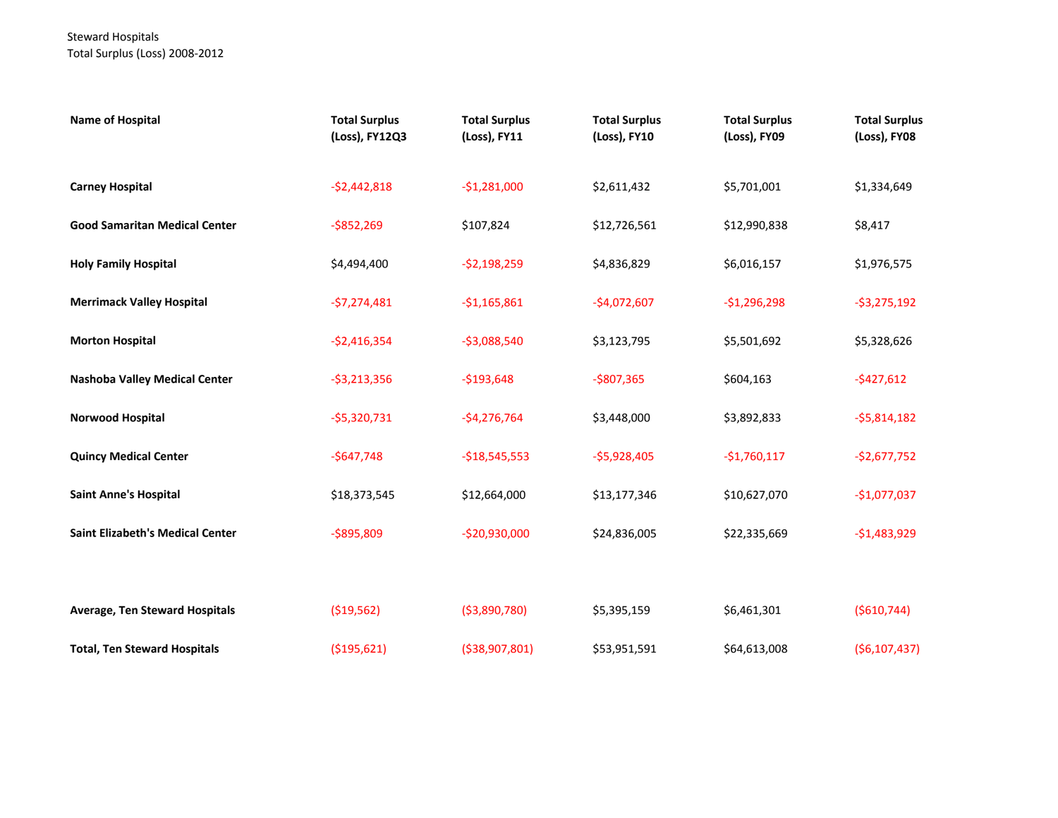# Steward Hospitals Total Surplus (Loss) 2008-2012

| <b>Name of Hospital</b>                 | <b>Total Surplus</b><br>(Loss), FY12Q3 | <b>Total Surplus</b><br>(Loss), FY11 | <b>Total Surplus</b><br>(Loss), FY10 | <b>Total Surplus</b><br>(Loss), FY09 | <b>Total Surplus</b><br>(Loss), FY08 |
|-----------------------------------------|----------------------------------------|--------------------------------------|--------------------------------------|--------------------------------------|--------------------------------------|
| <b>Carney Hospital</b>                  | $-52,442,818$                          | $-$1,281,000$                        | \$2,611,432                          | \$5,701,001                          | \$1,334,649                          |
| <b>Good Samaritan Medical Center</b>    | $-$852,269$                            | \$107,824                            | \$12,726,561                         | \$12,990,838                         | \$8,417                              |
| <b>Holy Family Hospital</b>             | \$4,494,400                            | $-52,198,259$                        | \$4,836,829                          | \$6,016,157                          | \$1,976,575                          |
| <b>Merrimack Valley Hospital</b>        | $-57,274,481$                          | $-$1,165,861$                        | $-$4,072,607$                        | $-$1,296,298$                        | $-53,275,192$                        |
| <b>Morton Hospital</b>                  | $-$2,416,354$                          | $-$3,088,540$                        | \$3,123,795                          | \$5,501,692                          | \$5,328,626                          |
| Nashoba Valley Medical Center           | $-53,213,356$                          | $-$193,648$                          | $-$807,365$                          | \$604,163                            | $-5427,612$                          |
| <b>Norwood Hospital</b>                 | $-$5,320,731$                          | $-$4,276,764$                        | \$3,448,000                          | \$3,892,833                          | $-55,814,182$                        |
| <b>Quincy Medical Center</b>            | $-$647,748$                            | $-$18,545,553$                       | $-$5,928,405$                        | $-$1,760,117$                        | $-$2,677,752$                        |
| <b>Saint Anne's Hospital</b>            | \$18,373,545                           | \$12,664,000                         | \$13,177,346                         | \$10,627,070                         | $-$1,077,037$                        |
| <b>Saint Elizabeth's Medical Center</b> | $-5895,809$                            | $-$20,930,000$                       | \$24,836,005                         | \$22,335,669                         | $-$1,483,929$                        |
|                                         |                                        |                                      |                                      |                                      |                                      |
| <b>Average, Ten Steward Hospitals</b>   | ( \$19,562)                            | ( \$3,890,780)                       | \$5,395,159                          | \$6,461,301                          | ( \$610, 744)                        |
| <b>Total, Ten Steward Hospitals</b>     | ( \$195,621)                           | ( \$38,907,801)                      | \$53,951,591                         | \$64,613,008                         | (56, 107, 437)                       |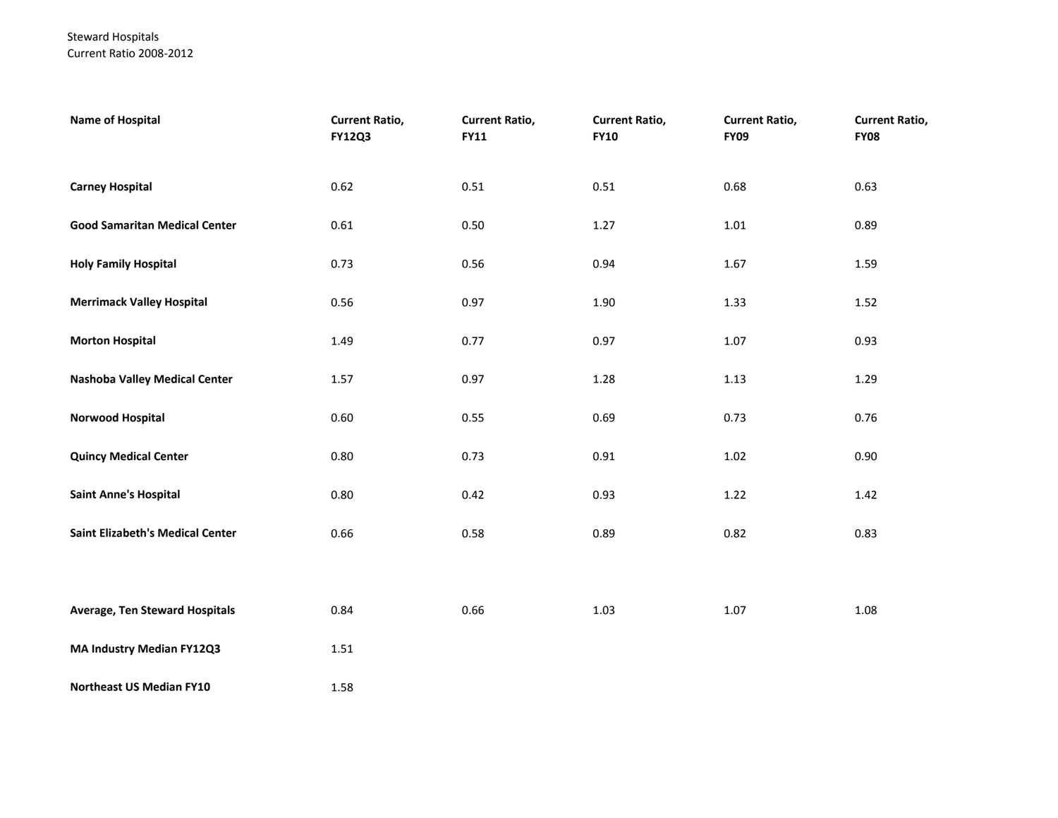### Steward Hospitals Current Ratio 2008-2012

| <b>Name of Hospital</b>                 | <b>Current Ratio,</b><br><b>FY12Q3</b> | <b>Current Ratio,</b><br><b>FY11</b> | <b>Current Ratio,</b><br><b>FY10</b> | <b>Current Ratio,</b><br><b>FY09</b> | <b>Current Ratio,</b><br><b>FY08</b> |
|-----------------------------------------|----------------------------------------|--------------------------------------|--------------------------------------|--------------------------------------|--------------------------------------|
| <b>Carney Hospital</b>                  | 0.62                                   | 0.51                                 | 0.51                                 | 0.68                                 | 0.63                                 |
| <b>Good Samaritan Medical Center</b>    | 0.61                                   | 0.50                                 | 1.27                                 | 1.01                                 | 0.89                                 |
| <b>Holy Family Hospital</b>             | 0.73                                   | 0.56                                 | 0.94                                 | 1.67                                 | 1.59                                 |
| <b>Merrimack Valley Hospital</b>        | 0.56                                   | 0.97                                 | 1.90                                 | 1.33                                 | 1.52                                 |
| <b>Morton Hospital</b>                  | 1.49                                   | 0.77                                 | 0.97                                 | 1.07                                 | 0.93                                 |
| <b>Nashoba Valley Medical Center</b>    | 1.57                                   | 0.97                                 | 1.28                                 | 1.13                                 | 1.29                                 |
| Norwood Hospital                        | 0.60                                   | 0.55                                 | 0.69                                 | 0.73                                 | 0.76                                 |
| <b>Quincy Medical Center</b>            | 0.80                                   | 0.73                                 | 0.91                                 | 1.02                                 | 0.90                                 |
| <b>Saint Anne's Hospital</b>            | 0.80                                   | 0.42                                 | 0.93                                 | 1.22                                 | 1.42                                 |
| <b>Saint Elizabeth's Medical Center</b> | 0.66                                   | 0.58                                 | 0.89                                 | 0.82                                 | 0.83                                 |
|                                         |                                        |                                      |                                      |                                      |                                      |
| <b>Average, Ten Steward Hospitals</b>   | 0.84                                   | 0.66                                 | 1.03                                 | 1.07                                 | 1.08                                 |
| <b>MA Industry Median FY12Q3</b>        | 1.51                                   |                                      |                                      |                                      |                                      |
| Northeast US Median FY10                | 1.58                                   |                                      |                                      |                                      |                                      |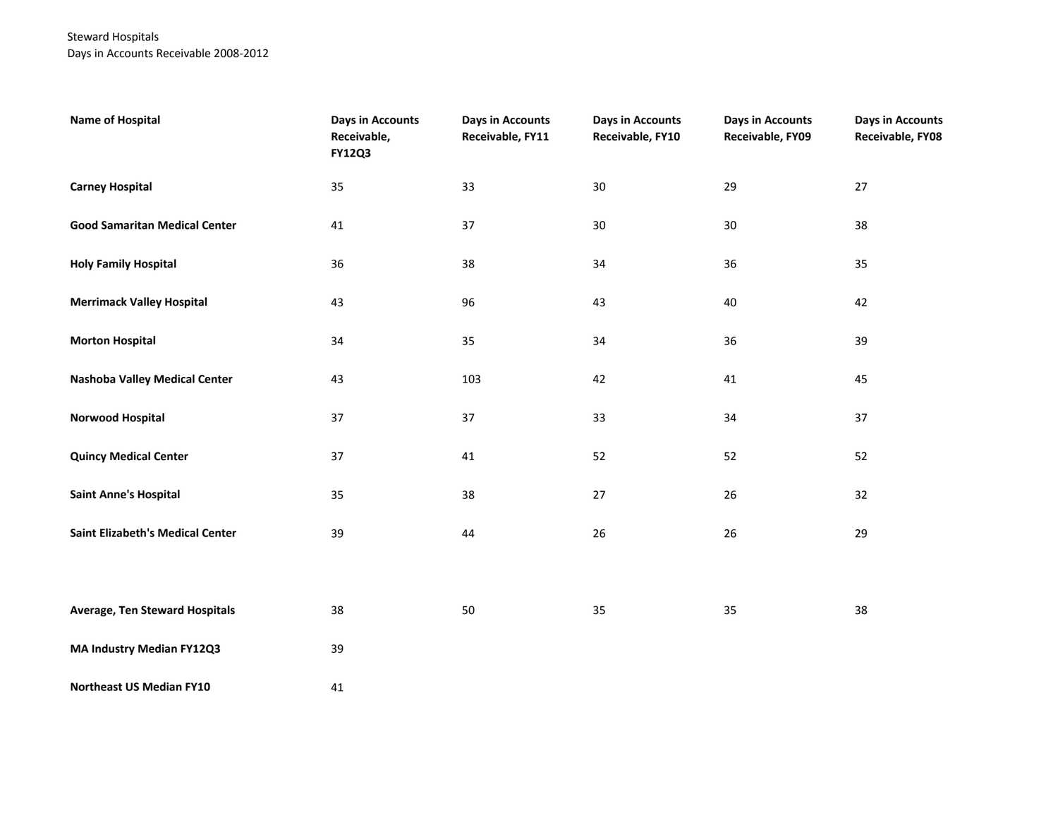## Steward Hospitals Days in Accounts Receivable 2008-2012

| <b>Name of Hospital</b>                 | <b>Days in Accounts</b><br>Receivable,<br><b>FY12Q3</b> | <b>Days in Accounts</b><br>Receivable, FY11 | <b>Days in Accounts</b><br>Receivable, FY10 | <b>Days in Accounts</b><br>Receivable, FY09 | <b>Days in Accounts</b><br>Receivable, FY08 |
|-----------------------------------------|---------------------------------------------------------|---------------------------------------------|---------------------------------------------|---------------------------------------------|---------------------------------------------|
| <b>Carney Hospital</b>                  | 35                                                      | 33                                          | 30                                          | 29                                          | 27                                          |
| <b>Good Samaritan Medical Center</b>    | 41                                                      | 37                                          | $30\,$                                      | $30\,$                                      | 38                                          |
| <b>Holy Family Hospital</b>             | 36                                                      | 38                                          | 34                                          | 36                                          | 35                                          |
| <b>Merrimack Valley Hospital</b>        | 43                                                      | 96                                          | 43                                          | 40                                          | 42                                          |
| <b>Morton Hospital</b>                  | 34                                                      | 35                                          | 34                                          | 36                                          | 39                                          |
| Nashoba Valley Medical Center           | 43                                                      | 103                                         | 42                                          | 41                                          | 45                                          |
| <b>Norwood Hospital</b>                 | 37                                                      | 37                                          | 33                                          | 34                                          | 37                                          |
| <b>Quincy Medical Center</b>            | 37                                                      | 41                                          | 52                                          | 52                                          | 52                                          |
| <b>Saint Anne's Hospital</b>            | 35                                                      | 38                                          | $27\,$                                      | $26\,$                                      | 32                                          |
| <b>Saint Elizabeth's Medical Center</b> | 39                                                      | 44                                          | $26\,$                                      | 26                                          | 29                                          |
|                                         |                                                         |                                             |                                             |                                             |                                             |
| Average, Ten Steward Hospitals          | 38                                                      | $50\,$                                      | 35                                          | 35                                          | 38                                          |
| MA Industry Median FY12Q3               | 39                                                      |                                             |                                             |                                             |                                             |
| <b>Northeast US Median FY10</b>         | 41                                                      |                                             |                                             |                                             |                                             |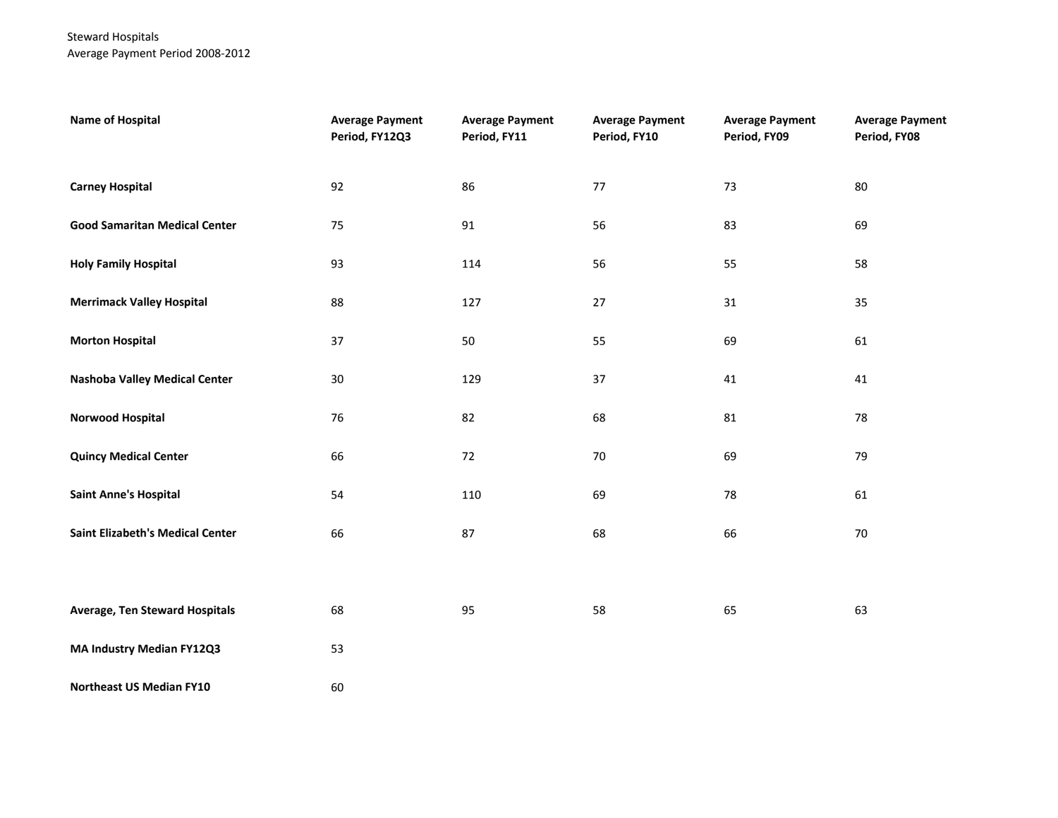Steward Hospitals Average Payment Period 2008-2012

| <b>Name of Hospital</b>                 | <b>Average Payment</b><br>Period, FY12Q3 | <b>Average Payment</b><br>Period, FY11 | <b>Average Payment</b><br>Period, FY10 | <b>Average Payment</b><br>Period, FY09 | <b>Average Payment</b><br>Period, FY08 |
|-----------------------------------------|------------------------------------------|----------------------------------------|----------------------------------------|----------------------------------------|----------------------------------------|
| <b>Carney Hospital</b>                  | 92                                       | 86                                     | $77\,$                                 | 73                                     | 80                                     |
| <b>Good Samaritan Medical Center</b>    | 75                                       | 91                                     | 56                                     | 83                                     | 69                                     |
| <b>Holy Family Hospital</b>             | 93                                       | 114                                    | 56                                     | 55                                     | 58                                     |
| <b>Merrimack Valley Hospital</b>        | 88                                       | 127                                    | 27                                     | 31                                     | 35                                     |
| <b>Morton Hospital</b>                  | 37                                       | 50                                     | 55                                     | 69                                     | 61                                     |
| <b>Nashoba Valley Medical Center</b>    | $30\,$                                   | 129                                    | 37                                     | 41                                     | 41                                     |
| <b>Norwood Hospital</b>                 | 76                                       | 82                                     | 68                                     | 81                                     | 78                                     |
| <b>Quincy Medical Center</b>            | 66                                       | 72                                     | $70\,$                                 | 69                                     | 79                                     |
| <b>Saint Anne's Hospital</b>            | 54                                       | 110                                    | 69                                     | 78                                     | 61                                     |
| <b>Saint Elizabeth's Medical Center</b> | 66                                       | 87                                     | 68                                     | 66                                     | 70                                     |
|                                         |                                          |                                        |                                        |                                        |                                        |
| <b>Average, Ten Steward Hospitals</b>   | 68                                       | 95                                     | 58                                     | 65                                     | 63                                     |
| MA Industry Median FY12Q3               | 53                                       |                                        |                                        |                                        |                                        |
| Northeast US Median FY10                | 60                                       |                                        |                                        |                                        |                                        |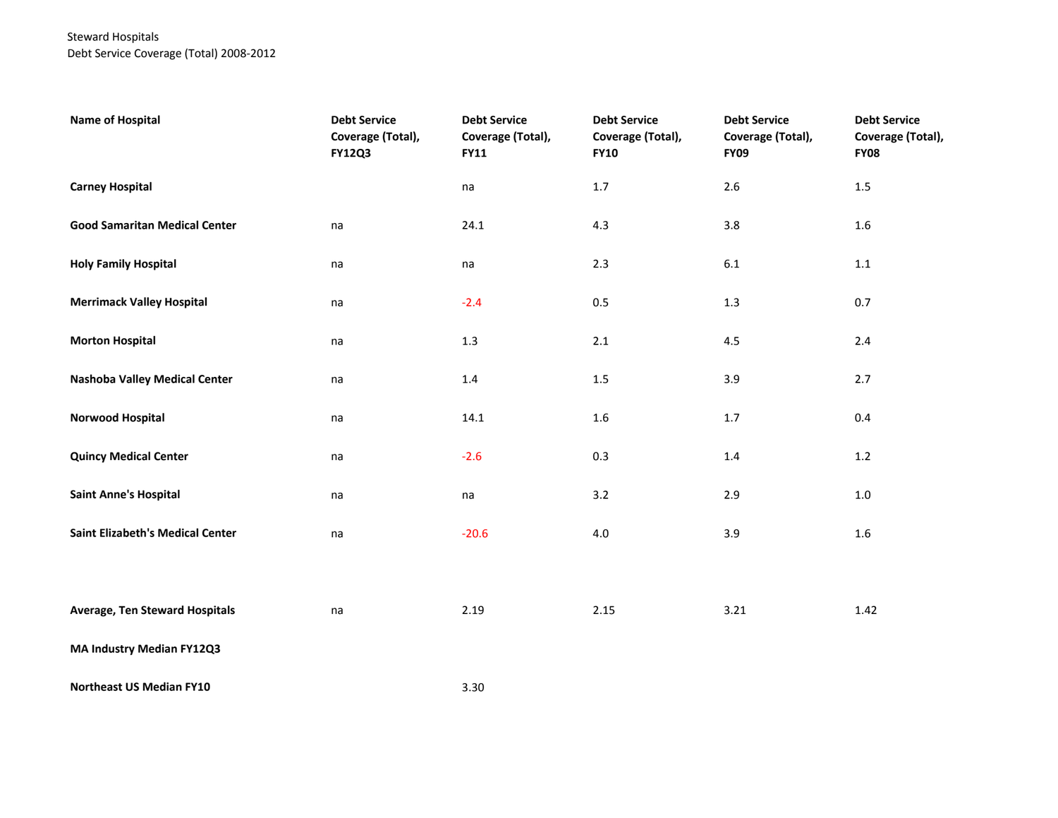## Steward Hospitals Debt Service Coverage (Total) 2008-2012

| <b>Name of Hospital</b>                 | <b>Debt Service</b><br>Coverage (Total),<br><b>FY12Q3</b> | <b>Debt Service</b><br>Coverage (Total),<br><b>FY11</b> | <b>Debt Service</b><br>Coverage (Total),<br><b>FY10</b> | <b>Debt Service</b><br>Coverage (Total),<br><b>FY09</b> | <b>Debt Service</b><br>Coverage (Total),<br><b>FY08</b> |
|-----------------------------------------|-----------------------------------------------------------|---------------------------------------------------------|---------------------------------------------------------|---------------------------------------------------------|---------------------------------------------------------|
| <b>Carney Hospital</b>                  |                                                           | na                                                      | 1.7                                                     | $2.6\,$                                                 | $1.5\,$                                                 |
| <b>Good Samaritan Medical Center</b>    | na                                                        | 24.1                                                    | 4.3                                                     | 3.8                                                     | $1.6\,$                                                 |
| <b>Holy Family Hospital</b>             | na                                                        | na                                                      | 2.3                                                     | $6.1\,$                                                 | 1.1                                                     |
| <b>Merrimack Valley Hospital</b>        | na                                                        | $-2.4$                                                  | $0.5\,$                                                 | $1.3\,$                                                 | 0.7                                                     |
| <b>Morton Hospital</b>                  | na                                                        | $1.3$                                                   | 2.1                                                     | 4.5                                                     | 2.4                                                     |
| <b>Nashoba Valley Medical Center</b>    | na                                                        | $1.4\,$                                                 | $1.5\,$                                                 | 3.9                                                     | 2.7                                                     |
| Norwood Hospital                        | na                                                        | 14.1                                                    | $1.6\,$                                                 | $1.7\,$                                                 | 0.4                                                     |
| <b>Quincy Medical Center</b>            | na                                                        | $-2.6$                                                  | 0.3                                                     | 1.4                                                     | $1.2$                                                   |
| <b>Saint Anne's Hospital</b>            | na                                                        | na                                                      | 3.2                                                     | 2.9                                                     | 1.0                                                     |
| <b>Saint Elizabeth's Medical Center</b> | na                                                        | $-20.6$                                                 | $4.0\,$                                                 | 3.9                                                     | $1.6\,$                                                 |
|                                         |                                                           |                                                         |                                                         |                                                         |                                                         |
| Average, Ten Steward Hospitals          | na                                                        | 2.19                                                    | 2.15                                                    | 3.21                                                    | 1.42                                                    |
| MA Industry Median FY12Q3               |                                                           |                                                         |                                                         |                                                         |                                                         |
| Northeast US Median FY10                |                                                           | 3.30                                                    |                                                         |                                                         |                                                         |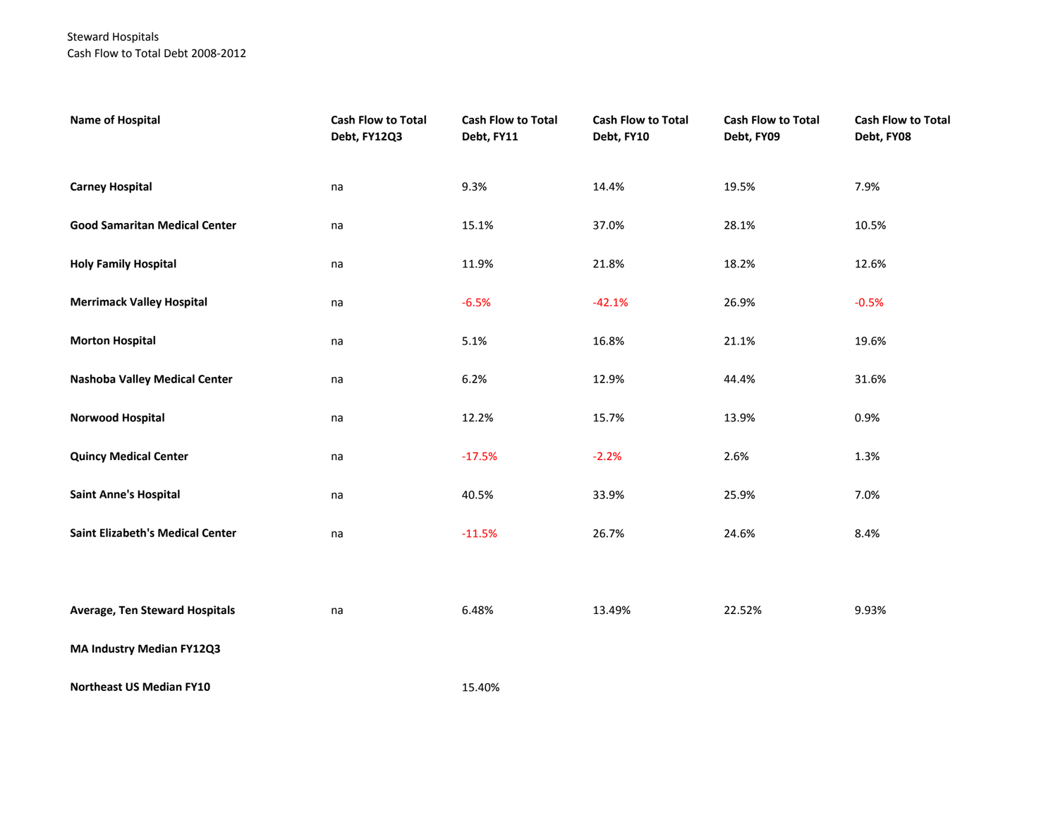### Steward Hospitals Cash Flow to Total Debt 2008-2012

| <b>Name of Hospital</b>                 | Cash Flow to Total<br>Debt, FY12Q3 | <b>Cash Flow to Total</b><br>Debt, FY11 | Cash Flow to Total<br>Debt, FY10 | Cash Flow to Total<br>Debt, FY09 | Cash Flow to Total<br>Debt, FY08 |
|-----------------------------------------|------------------------------------|-----------------------------------------|----------------------------------|----------------------------------|----------------------------------|
| <b>Carney Hospital</b>                  | na                                 | 9.3%                                    | 14.4%                            | 19.5%                            | 7.9%                             |
| <b>Good Samaritan Medical Center</b>    | na                                 | 15.1%                                   | 37.0%                            | 28.1%                            | 10.5%                            |
| <b>Holy Family Hospital</b>             | na                                 | 11.9%                                   | 21.8%                            | 18.2%                            | 12.6%                            |
| <b>Merrimack Valley Hospital</b>        | na                                 | $-6.5%$                                 | $-42.1%$                         | 26.9%                            | $-0.5%$                          |
| <b>Morton Hospital</b>                  | na                                 | 5.1%                                    | 16.8%                            | 21.1%                            | 19.6%                            |
| <b>Nashoba Valley Medical Center</b>    | na                                 | 6.2%                                    | 12.9%                            | 44.4%                            | 31.6%                            |
| <b>Norwood Hospital</b>                 | na                                 | 12.2%                                   | 15.7%                            | 13.9%                            | 0.9%                             |
| <b>Quincy Medical Center</b>            | na                                 | $-17.5%$                                | $-2.2%$                          | 2.6%                             | 1.3%                             |
| <b>Saint Anne's Hospital</b>            | na                                 | 40.5%                                   | 33.9%                            | 25.9%                            | 7.0%                             |
| <b>Saint Elizabeth's Medical Center</b> | na                                 | $-11.5%$                                | 26.7%                            | 24.6%                            | 8.4%                             |
|                                         |                                    |                                         |                                  |                                  |                                  |
| <b>Average, Ten Steward Hospitals</b>   | na                                 | 6.48%                                   | 13.49%                           | 22.52%                           | 9.93%                            |
| MA Industry Median FY12Q3               |                                    |                                         |                                  |                                  |                                  |
| <b>Northeast US Median FY10</b>         |                                    | 15.40%                                  |                                  |                                  |                                  |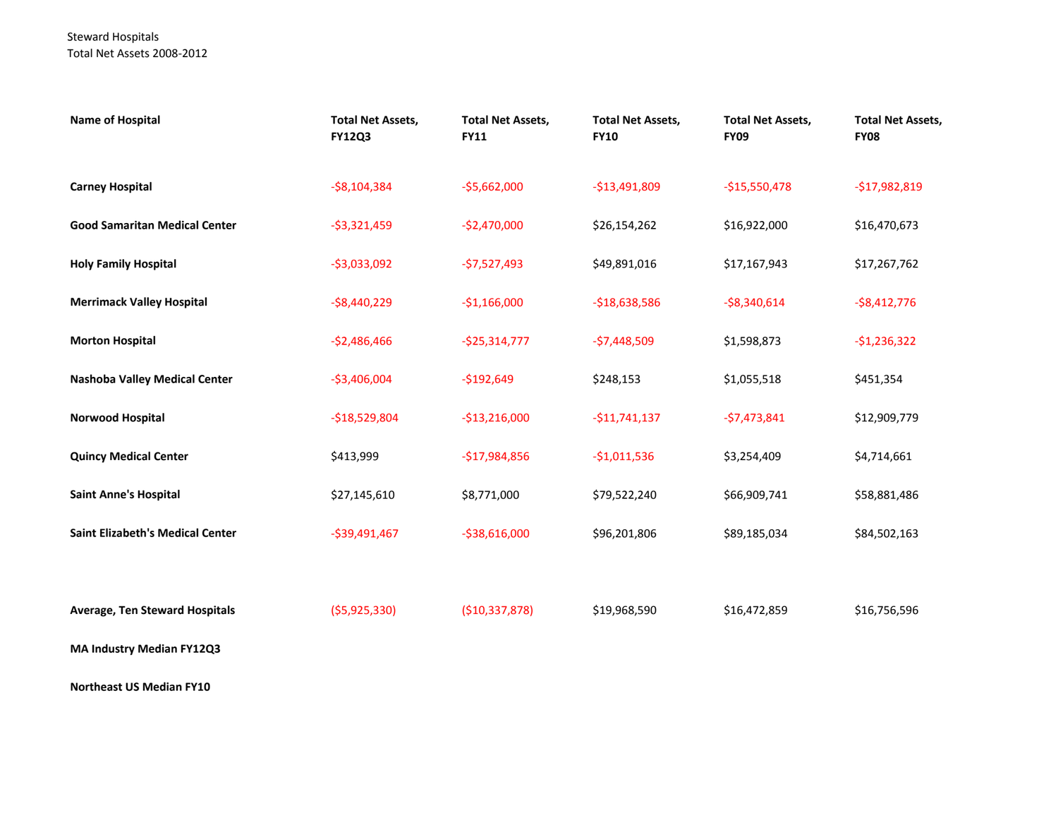### Steward Hospitals Total Net Assets 2008-2012

| <b>Name of Hospital</b>                 | <b>Total Net Assets,</b><br><b>FY12Q3</b> | <b>Total Net Assets,</b><br><b>FY11</b> | <b>Total Net Assets,</b><br><b>FY10</b> | <b>Total Net Assets,</b><br><b>FY09</b> | <b>Total Net Assets,</b><br><b>FY08</b> |
|-----------------------------------------|-------------------------------------------|-----------------------------------------|-----------------------------------------|-----------------------------------------|-----------------------------------------|
| <b>Carney Hospital</b>                  | $-58,104,384$                             | $-$5,662,000$                           | $-$13,491,809$                          | $-$15,550,478$                          | $-$17,982,819$                          |
| <b>Good Samaritan Medical Center</b>    | $-53,321,459$                             | $-$2,470,000$                           | \$26,154,262                            | \$16,922,000                            | \$16,470,673                            |
| <b>Holy Family Hospital</b>             | $-53,033,092$                             | $-57,527,493$                           | \$49,891,016                            | \$17,167,943                            | \$17,267,762                            |
| <b>Merrimack Valley Hospital</b>        | $-$8,440,229$                             | $-$1,166,000$                           | $-$18,638,586$                          | $-58,340,614$                           | $-$8,412,776$                           |
| <b>Morton Hospital</b>                  | $-$2,486,466$                             | $-525,314,777$                          | $-57,448,509$                           | \$1,598,873                             | $-$1,236,322$                           |
| <b>Nashoba Valley Medical Center</b>    | $-$3,406,004$                             | $-$192,649$                             | \$248,153                               | \$1,055,518                             | \$451,354                               |
| Norwood Hospital                        | $-$18,529,804$                            | $-$13,216,000$                          | $-$11,741,137$                          | $-57,473,841$                           | \$12,909,779                            |
| <b>Quincy Medical Center</b>            | \$413,999                                 | $-$17,984,856$                          | $-$1,011,536$                           | \$3,254,409                             | \$4,714,661                             |
| <b>Saint Anne's Hospital</b>            | \$27,145,610                              | \$8,771,000                             | \$79,522,240                            | \$66,909,741                            | \$58,881,486                            |
| <b>Saint Elizabeth's Medical Center</b> | $-$39,491,467$                            | $-$ \$38,616,000                        | \$96,201,806                            | \$89,185,034                            | \$84,502,163                            |
|                                         |                                           |                                         |                                         |                                         |                                         |
| <b>Average, Ten Steward Hospitals</b>   | ( \$5,925,330)                            | ( \$10, 337, 878)                       | \$19,968,590                            | \$16,472,859                            | \$16,756,596                            |
| MA Industry Median FY12Q3               |                                           |                                         |                                         |                                         |                                         |

**Northeast US Median FY10**